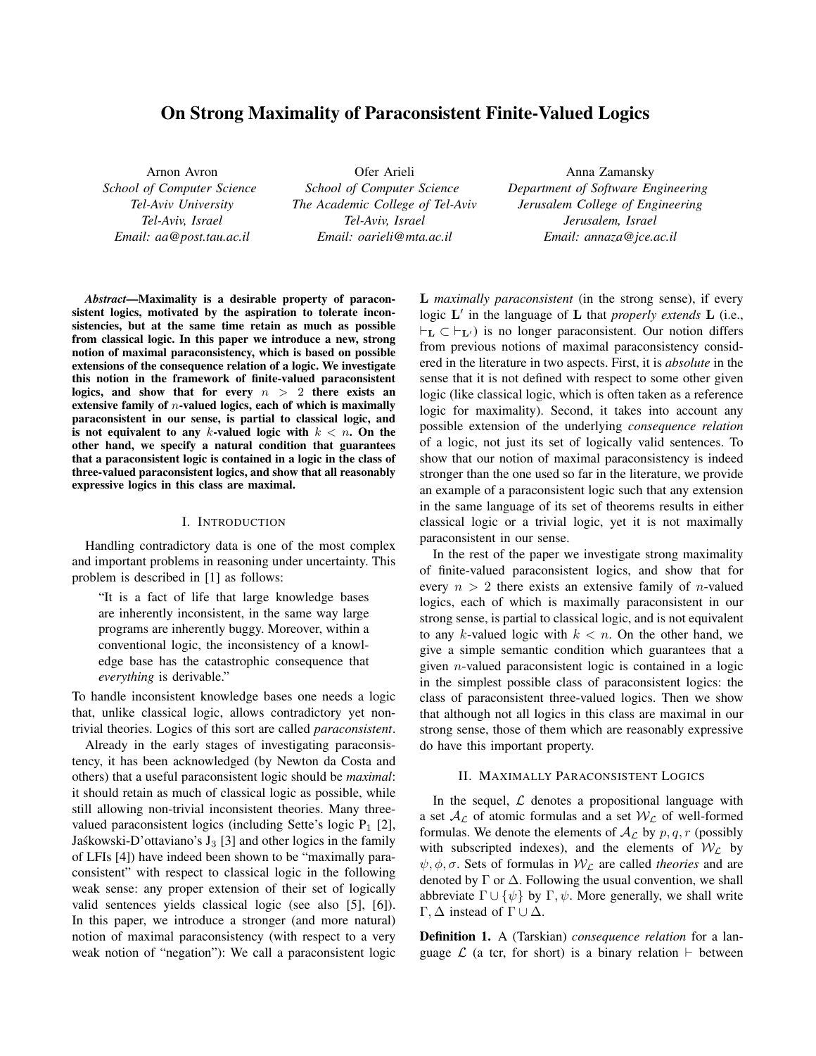# On Strong Maximality of Paraconsistent Finite-Valued Logics

Arnon Avron *School of Computer Science Tel-Aviv University Tel-Aviv, Israel Email: aa@post.tau.ac.il*

Ofer Arieli *School of Computer Science The Academic College of Tel-Aviv Tel-Aviv, Israel Email: oarieli@mta.ac.il*

Anna Zamansky *Department of Software Engineering Jerusalem College of Engineering Jerusalem, Israel Email: annaza@jce.ac.il*

*Abstract*—Maximality is a desirable property of paraconsistent logics, motivated by the aspiration to tolerate inconsistencies, but at the same time retain as much as possible from classical logic. In this paper we introduce a new, strong notion of maximal paraconsistency, which is based on possible extensions of the consequence relation of a logic. We investigate this notion in the framework of finite-valued paraconsistent logics, and show that for every  $n > 2$  there exists an extensive family of  $n$ -valued logics, each of which is maximally paraconsistent in our sense, is partial to classical logic, and is not equivalent to any k-valued logic with  $k < n$ . On the other hand, we specify a natural condition that guarantees that a paraconsistent logic is contained in a logic in the class of three-valued paraconsistent logics, and show that all reasonably expressive logics in this class are maximal.

## I. INTRODUCTION

Handling contradictory data is one of the most complex and important problems in reasoning under uncertainty. This problem is described in [1] as follows:

"It is a fact of life that large knowledge bases are inherently inconsistent, in the same way large programs are inherently buggy. Moreover, within a conventional logic, the inconsistency of a knowledge base has the catastrophic consequence that *everything* is derivable."

To handle inconsistent knowledge bases one needs a logic that, unlike classical logic, allows contradictory yet nontrivial theories. Logics of this sort are called *paraconsistent*.

Already in the early stages of investigating paraconsistency, it has been acknowledged (by Newton da Costa and others) that a useful paraconsistent logic should be *maximal*: it should retain as much of classical logic as possible, while still allowing non-trivial inconsistent theories. Many threevalued paraconsistent logics (including Sette's logic  $P_1$  [2], Jaskowski-D'ottaviano's  $J_3$  [3] and other logics in the family of LFIs [4]) have indeed been shown to be "maximally paraconsistent" with respect to classical logic in the following weak sense: any proper extension of their set of logically valid sentences yields classical logic (see also [5], [6]). In this paper, we introduce a stronger (and more natural) notion of maximal paraconsistency (with respect to a very weak notion of "negation"): We call a paraconsistent logic L *maximally paraconsistent* (in the strong sense), if every logic L' in the language of L that *properly extends* L (i.e.,  $\vdash_{\mathbf{L}} \subset \vdash_{\mathbf{L'}}$ ) is no longer paraconsistent. Our notion differs from previous notions of maximal paraconsistency considered in the literature in two aspects. First, it is *absolute* in the sense that it is not defined with respect to some other given logic (like classical logic, which is often taken as a reference logic for maximality). Second, it takes into account any possible extension of the underlying *consequence relation* of a logic, not just its set of logically valid sentences. To show that our notion of maximal paraconsistency is indeed stronger than the one used so far in the literature, we provide an example of a paraconsistent logic such that any extension in the same language of its set of theorems results in either classical logic or a trivial logic, yet it is not maximally paraconsistent in our sense.

In the rest of the paper we investigate strong maximality of finite-valued paraconsistent logics, and show that for every  $n > 2$  there exists an extensive family of *n*-valued logics, each of which is maximally paraconsistent in our strong sense, is partial to classical logic, and is not equivalent to any k-valued logic with  $k < n$ . On the other hand, we give a simple semantic condition which guarantees that a given n-valued paraconsistent logic is contained in a logic in the simplest possible class of paraconsistent logics: the class of paraconsistent three-valued logics. Then we show that although not all logics in this class are maximal in our strong sense, those of them which are reasonably expressive do have this important property.

## II. MAXIMALLY PARACONSISTENT LOGICS

In the sequel,  $\mathcal L$  denotes a propositional language with a set  $A_{\mathcal{L}}$  of atomic formulas and a set  $\mathcal{W}_{\mathcal{L}}$  of well-formed formulas. We denote the elements of  $\mathcal{A}_{\mathcal{L}}$  by  $p, q, r$  (possibly with subscripted indexes), and the elements of  $W_{\mathcal{L}}$  by  $\psi$ ,  $\phi$ ,  $\sigma$ . Sets of formulas in  $W_L$  are called *theories* and are denoted by  $\Gamma$  or  $\Delta$ . Following the usual convention, we shall abbreviate  $\Gamma \cup {\psi}$  by  $\Gamma, \psi$ . More generally, we shall write Γ,  $\Delta$  instead of  $\Gamma \cup \Delta$ .

Definition 1. A (Tarskian) *consequence relation* for a language  $\mathcal L$  (a tcr, for short) is a binary relation  $\vdash$  between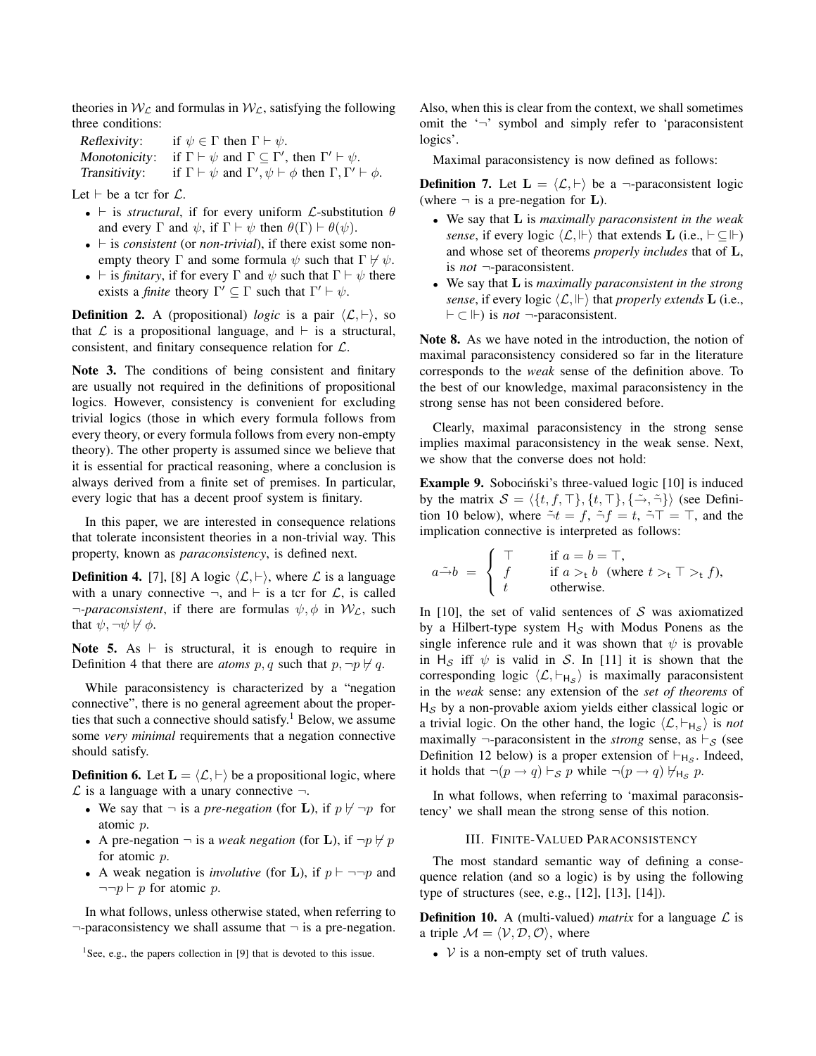theories in  $W_{\mathcal{L}}$  and formulas in  $W_{\mathcal{L}}$ , satisfying the following three conditions:

| Reflexivity: | if $\psi \in \Gamma$ then $\Gamma \vdash \psi$ .                                                           |
|--------------|------------------------------------------------------------------------------------------------------------|
|              | Monotonicity: if $\Gamma \vdash \psi$ and $\Gamma \subseteq \Gamma'$ , then $\Gamma' \vdash \psi$ .        |
|              | Transitivity: if $\Gamma \vdash \psi$ and $\Gamma', \psi \vdash \phi$ then $\Gamma, \Gamma' \vdash \phi$ . |

Let  $\vdash$  be a tcr for  $\mathcal{L}$ .

- $\vdash$  is *structural*, if for every uniform  $\mathcal{L}$ -substitution  $\theta$ and every  $\Gamma$  and  $\psi$ , if  $\Gamma \vdash \psi$  then  $\theta(\Gamma) \vdash \theta(\psi)$ .
- $\bullet$   $\vdash$  is *consistent* (or *non-trivial*), if there exist some nonempty theory Γ and some formula  $\psi$  such that  $\Gamma \not\vdash \psi$ .
- $\vdash$  is *finitary*, if for every  $\Gamma$  and  $\psi$  such that  $\Gamma \vdash \psi$  there exists a *finite* theory  $\Gamma' \subseteq \Gamma$  such that  $\Gamma' \vdash \psi$ .

**Definition 2.** A (propositional) *logic* is a pair  $\langle \mathcal{L}, \vdash \rangle$ , so that  $\mathcal L$  is a propositional language, and  $\vdash$  is a structural, consistent, and finitary consequence relation for  $\mathcal{L}$ .

Note 3. The conditions of being consistent and finitary are usually not required in the definitions of propositional logics. However, consistency is convenient for excluding trivial logics (those in which every formula follows from every theory, or every formula follows from every non-empty theory). The other property is assumed since we believe that it is essential for practical reasoning, where a conclusion is always derived from a finite set of premises. In particular, every logic that has a decent proof system is finitary.

In this paper, we are interested in consequence relations that tolerate inconsistent theories in a non-trivial way. This property, known as *paraconsistency*, is defined next.

**Definition 4.** [7], [8] A logic  $\langle \mathcal{L}, \vdash \rangle$ , where  $\mathcal{L}$  is a language with a unary connective  $\neg$ , and  $\vdash$  is a tcr for  $\mathcal{L}$ , is called  $\neg$ -*paraconsistent*, if there are formulas  $\psi$ ,  $\phi$  in  $W_c$ , such that  $\psi$ ,  $\neg \psi \nvdash \phi$ .

Note 5. As  $\vdash$  is structural, it is enough to require in Definition 4 that there are *atoms*  $p, q$  such that  $p, \neg p \nmid q$ .

While paraconsistency is characterized by a "negation connective", there is no general agreement about the properties that such a connective should satisfy.<sup>1</sup> Below, we assume some *very minimal* requirements that a negation connective should satisfy.

**Definition 6.** Let  $\mathbf{L} = \langle \mathcal{L}, \vdash \rangle$  be a propositional logic, where  $\mathcal L$  is a language with a unary connective  $\neg$ .

- We say that  $\neg$  is a *pre-negation* (for **L**), if  $p \nvdash \neg p$  for atomic p.
- A pre-negation  $\neg$  is a *weak negation* (for **L**), if  $\neg p \nvdash p$ for atomic p.
- A weak negation is *involutive* (for **L**), if  $p \vdash \neg \neg p$  and  $\neg\neg p \vdash p$  for atomic p.

In what follows, unless otherwise stated, when referring to  $\neg$ -paraconsistency we shall assume that  $\neg$  is a pre-negation. Also, when this is clear from the context, we shall sometimes omit the  $\sim$  symbol and simply refer to 'paraconsistent' logics'.

Maximal paraconsistency is now defined as follows:

**Definition 7.** Let  $\mathbf{L} = \langle \mathcal{L}, \vdash \rangle$  be a  $\neg$ -paraconsistent logic (where  $\neg$  is a pre-negation for **L**).

- We say that L is *maximally paraconsistent in the weak sense*, if every logic  $\langle \mathcal{L}, \Vdash \rangle$  that extends **L** (i.e.,  $\vdash \subset \Vdash$ ) and whose set of theorems *properly includes* that of L, is *not* ¬-paraconsistent.
- We say that L is *maximally paraconsistent in the strong sense*, if every logic  $\langle \mathcal{L}, \Vdash \rangle$  that *properly extends* **L** (i.e.,  $\vdash \subset \Vdash$ ) is *not*  $\neg$ -paraconsistent.

Note 8. As we have noted in the introduction, the notion of maximal paraconsistency considered so far in the literature corresponds to the *weak* sense of the definition above. To the best of our knowledge, maximal paraconsistency in the strong sense has not been considered before.

Clearly, maximal paraconsistency in the strong sense implies maximal paraconsistency in the weak sense. Next, we show that the converse does not hold:

Example 9. Sobociński's three-valued logic [10] is induced by the matrix  $S = \langle \{t, f, \top\}, \{t, \top\}, \{\tilde{\rightarrow}, \tilde{\rightarrow}\}\rangle$  (see Definition 10 below), where  $\tilde{\neg} t = f$ ,  $\tilde{\neg} f = t$ ,  $\tilde{\neg} \top = \top$ , and the implication connective is interpreted as follows:

$$
a \tilde{\rightarrow} b = \begin{cases} \top & \text{if } a = b = \top, \\ f & \text{if } a >_t b \text{ (where } t >_t \top >_t f), \\ t & \text{otherwise.} \end{cases}
$$

In  $[10]$ , the set of valid sentences of S was axiomatized by a Hilbert-type system  $H_S$  with Modus Ponens as the single inference rule and it was shown that  $\psi$  is provable in H<sub>S</sub> iff  $\psi$  is valid in S. In [11] it is shown that the corresponding logic  $\langle \mathcal{L}, \vdash_{H_S} \rangle$  is maximally paraconsistent in the *weak* sense: any extension of the *set of theorems* of  $H<sub>S</sub>$  by a non-provable axiom yields either classical logic or a trivial logic. On the other hand, the logic  $\langle \mathcal{L}, \vdash_{H_S} \rangle$  is *not* maximally  $\neg$ -paraconsistent in the *strong* sense, as  $\vdash_S$  (see Definition 12 below) is a proper extension of  $\vdash_{H_S}$ . Indeed, it holds that  $\neg(p \rightarrow q) \vdash_{\mathcal{S}} p$  while  $\neg(p \rightarrow q) \not\vdash_{\mathsf{H}_\mathcal{S}} p$ .

In what follows, when referring to 'maximal paraconsistency' we shall mean the strong sense of this notion.

## III. FINITE-VALUED PARACONSISTENCY

The most standard semantic way of defining a consequence relation (and so a logic) is by using the following type of structures (see, e.g., [12], [13], [14]).

**Definition 10.** A (multi-valued) *matrix* for a language  $\mathcal{L}$  is a triple  $M = \langle V, D, O \rangle$ , where

•  $V$  is a non-empty set of truth values.

<sup>&</sup>lt;sup>1</sup>See, e.g., the papers collection in  $[9]$  that is devoted to this issue.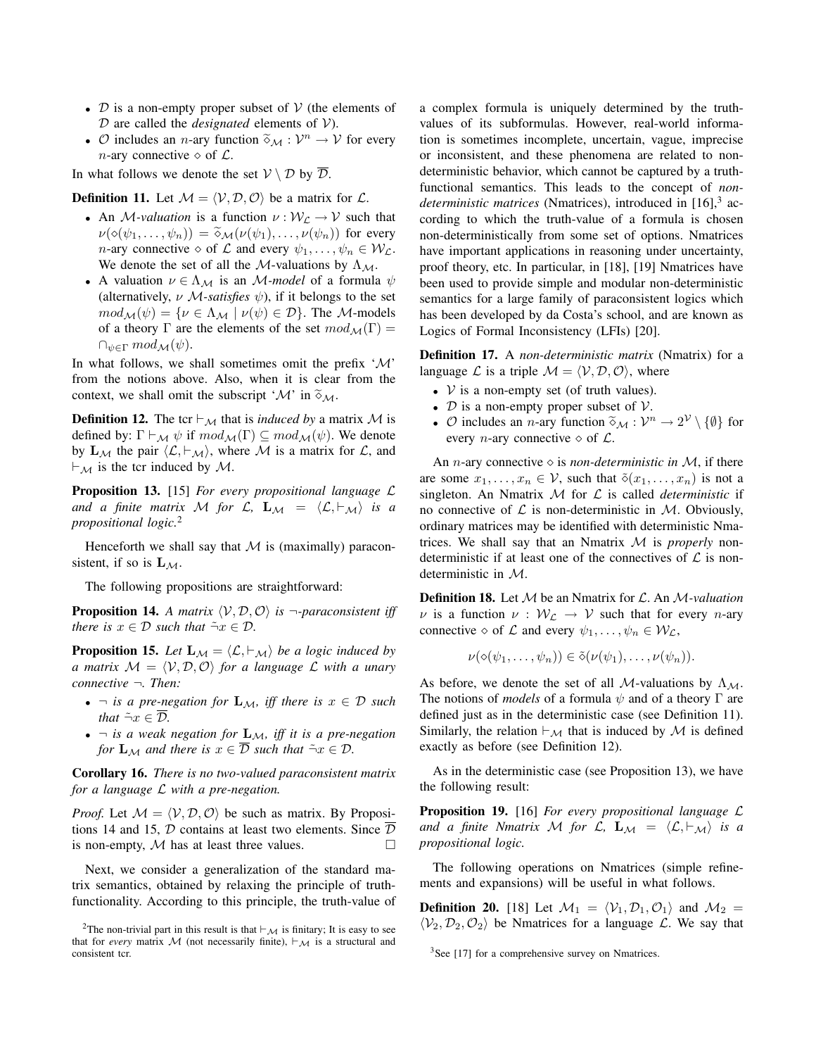- $D$  is a non-empty proper subset of  $V$  (the elements of  $D$  are called the *designated* elements of  $V$ ).
- $\mathcal O$  includes an *n*-ary function  $\widetilde{\diamond}_{\mathcal M}: \mathcal V^n \to \mathcal V$  for every *n*-ary connective  $\diamond$  of  $\mathcal{L}$ .

In what follows we denote the set  $V \setminus D$  by  $\overline{D}$ .

**Definition 11.** Let  $M = \langle V, D, O \rangle$  be a matrix for  $\mathcal{L}$ .

- An *M*-valuation is a function  $\nu : \mathcal{W}_c \to \mathcal{V}$  such that  $\nu(\diamond(\psi_1,\ldots,\psi_n)) = \widetilde{\diamond}_{\mathcal{M}}(\nu(\psi_1),\ldots,\nu(\psi_n))$  for every *n*-ary connective  $\diamond$  of  $\mathcal L$  and every  $\psi_1, \ldots, \psi_n \in \mathcal W_{\mathcal L}$ . We denote the set of all the M-valuations by  $\Lambda_M$ .
- A valuation  $\nu \in \Lambda_M$  is an *M-model* of a formula  $\psi$ (alternatively,  $\nu$  *M*-satisfies  $\psi$ ), if it belongs to the set  $mod_{\mathcal{M}}(\psi) = \{ \nu \in \Lambda_{\mathcal{M}} \mid \nu(\psi) \in \mathcal{D} \}$ . The M-models of a theory  $\Gamma$  are the elements of the set  $mod_{\mathcal{M}}(\Gamma)$  =  $\cap_{\psi \in \Gamma} \mod_{\mathcal{M}}(\psi).$

In what follows, we shall sometimes omit the prefix  $^{\circ}\mathcal{M}$ from the notions above. Also, when it is clear from the context, we shall omit the subscript ' $\mathcal{M}$ ' in  $\tilde{\diamond}_{\mathcal{M}}$ .

**Definition 12.** The tcr  $\vdash_M$  that is *induced by* a matrix M is defined by:  $\Gamma \vdash_{\mathcal{M}} \psi$  if  $mod_{\mathcal{M}}(\Gamma) \subseteq mod_{\mathcal{M}}(\psi)$ . We denote by  $\mathbf{L}_{\mathcal{M}}$  the pair  $\langle \mathcal{L}, \vdash_{\mathcal{M}} \rangle$ , where M is a matrix for  $\mathcal{L}$ , and  $\vdash_{\mathcal{M}}$  is the tcr induced by  $\mathcal{M}$ .

Proposition 13. [15] *For every propositional language* L *and a finite matrix* M *for*  $\mathcal{L}$ ,  $\mathbf{L}_{\mathcal{M}} = \langle \mathcal{L}, \vdash_{\mathcal{M}} \rangle$  *is a propositional logic.*<sup>2</sup>

Henceforth we shall say that  $M$  is (maximally) paraconsistent, if so is  $L_M$ .

The following propositions are straightforward:

**Proposition 14.** A matrix  $\langle V, D, O \rangle$  is  $\neg$ -paraconsistent iff *there is*  $x \in \mathcal{D}$  *such that*  $\tilde{\neg} x \in \mathcal{D}$ *.* 

**Proposition 15.** Let  $\mathbf{L}_{\mathcal{M}} = \langle \mathcal{L}, \vdash_{\mathcal{M}} \rangle$  be a logic induced by *a matrix*  $M = \langle V, D, O \rangle$  *for a language* L *with a unary connective* ¬*. Then:*

- $\neg$  *is a pre-negation for*  $\mathbf{L}_{\mathcal{M}}$ *, iff there is*  $x \in \mathcal{D}$  *such that*  $\tilde{\neg} x \in \overline{\mathcal{D}}$ *.*
- $\neg$  *is a weak negation for*  $\mathbf{L}_M$ *, iff it is a pre-negation for*  $\mathbf{L}_{\mathcal{M}}$  *and there is*  $x \in \overline{\mathcal{D}}$  *such that*  $\tilde{\neg} x \in \mathcal{D}$ *.*

Corollary 16. *There is no two-valued paraconsistent matrix for a language* L *with a pre-negation.*

*Proof.* Let  $M = \langle V, D, O \rangle$  be such as matrix. By Propositions 14 and 15,  $D$  contains at least two elements. Since  $D$ is non-empty,  $M$  has at least three values.  $\Box$ 

Next, we consider a generalization of the standard matrix semantics, obtained by relaxing the principle of truthfunctionality. According to this principle, the truth-value of a complex formula is uniquely determined by the truthvalues of its subformulas. However, real-world information is sometimes incomplete, uncertain, vague, imprecise or inconsistent, and these phenomena are related to nondeterministic behavior, which cannot be captured by a truthfunctional semantics. This leads to the concept of *non*deterministic matrices (Nmatrices), introduced in [16],<sup>3</sup> according to which the truth-value of a formula is chosen non-deterministically from some set of options. Nmatrices have important applications in reasoning under uncertainty, proof theory, etc. In particular, in [18], [19] Nmatrices have been used to provide simple and modular non-deterministic semantics for a large family of paraconsistent logics which has been developed by da Costa's school, and are known as Logics of Formal Inconsistency (LFIs) [20].

Definition 17. A *non-deterministic matrix* (Nmatrix) for a language L is a triple  $M = \langle V, D, O \rangle$ , where

- $V$  is a non-empty set (of truth values).
- $D$  is a non-empty proper subset of  $V$ .
- O includes an *n*-ary function  $\widetilde{\diamond}_{\mathcal{M}} : \mathcal{V}^n \to 2^{\mathcal{V}} \setminus \{\emptyset\}$  for every *n*-ary connective  $\diamond$  of  $\mathcal{L}$ .

An *n*-ary connective  $\diamond$  is *non-deterministic in M*, if there are some  $x_1, \ldots, x_n \in V$ , such that  $\tilde{\diamond}(x_1, \ldots, x_n)$  is not a singleton. An Nmatrix  $M$  for  $L$  is called *deterministic* if no connective of  $\mathcal L$  is non-deterministic in  $\mathcal M$ . Obviously, ordinary matrices may be identified with deterministic Nmatrices. We shall say that an Nmatrix M is *properly* nondeterministic if at least one of the connectives of  $\mathcal L$  is nondeterministic in M.

Definition 18. Let M be an Nmatrix for L. An M*-valuation*  $\nu$  is a function  $\nu : W_{\mathcal{L}} \to V$  such that for every *n*-ary connective  $\diamond$  of  $\mathcal L$  and every  $\psi_1, \ldots, \psi_n \in \mathcal W_{\mathcal L}$ ,

$$
\nu(\diamond(\psi_1,\ldots,\psi_n))\in\tilde{\diamond}(\nu(\psi_1),\ldots,\nu(\psi_n)).
$$

As before, we denote the set of all M-valuations by  $\Lambda_M$ . The notions of *models* of a formula  $\psi$  and of a theory  $\Gamma$  are defined just as in the deterministic case (see Definition 11). Similarly, the relation  $\vdash_{\mathcal{M}}$  that is induced by  $\mathcal M$  is defined exactly as before (see Definition 12).

As in the deterministic case (see Proposition 13), we have the following result:

Proposition 19. [16] *For every propositional language* L *and a finite Nmatrix M for L,*  $\mathbf{L}_{\mathcal{M}} = \langle \mathcal{L}, \vdash_{\mathcal{M}} \rangle$  *is a propositional logic.*

The following operations on Nmatrices (simple refinements and expansions) will be useful in what follows.

**Definition 20.** [18] Let  $\mathcal{M}_1 = \langle \mathcal{V}_1, \mathcal{D}_1, \mathcal{O}_1 \rangle$  and  $\mathcal{M}_2 =$  $\langle V_2, \mathcal{D}_2, \mathcal{O}_2 \rangle$  be Nmatrices for a language  $\mathcal{L}$ . We say that

<sup>&</sup>lt;sup>2</sup>The non-trivial part in this result is that  $\vdash_{\mathcal{M}}$  is finitary; It is easy to see that for *every* matrix  $M$  (not necessarily finite),  $\vdash_{\mathcal{M}}$  is a structural and consistent tcr.

 $3$ See [17] for a comprehensive survey on Nmatrices.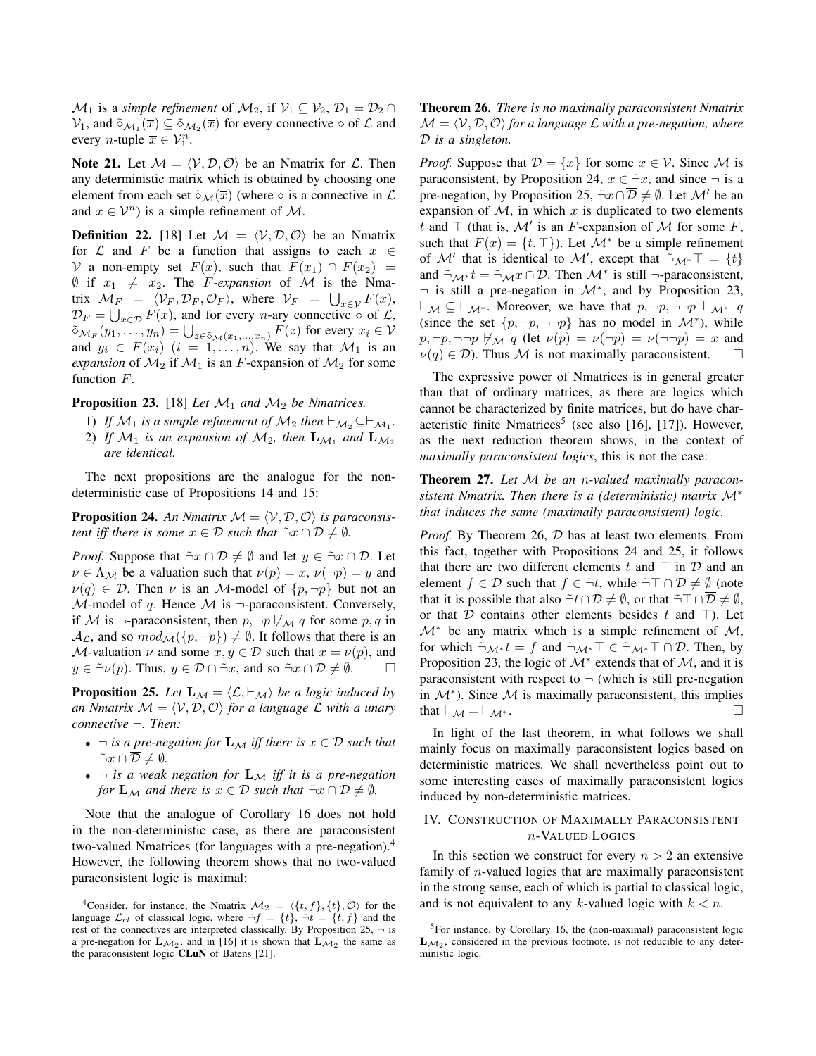$M_1$  is a *simple refinement* of  $M_2$ , if  $V_1 \subseteq V_2$ ,  $\mathcal{D}_1 = \mathcal{D}_2 \cap$  $\mathcal{V}_1$ , and  $\tilde{\diamond}_{\mathcal{M}_1}(\overline{x}) \subseteq \tilde{\diamond}_{\mathcal{M}_2}(\overline{x})$  for every connective  $\diamond$  of  $\mathcal L$  and every *n*-tuple  $\overline{x} \in \mathcal{V}_1^n$ .

**Note 21.** Let  $M = \langle V, D, O \rangle$  be an Nmatrix for L. Then any deterministic matrix which is obtained by choosing one element from each set  $\tilde{\diamond}_{\mathcal{M}}(\overline{x})$  (where  $\diamond$  is a connective in  $\mathcal L$ and  $\bar{x} \in \mathcal{V}^n$  is a simple refinement of M.

**Definition 22.** [18] Let  $\mathcal{M} = \langle \mathcal{V}, \mathcal{D}, \mathcal{O} \rangle$  be an Nmatrix for  $\mathcal L$  and F be a function that assigns to each  $x \in$ V a non-empty set  $F(x)$ , such that  $F(x_1) \cap F(x_2) =$  $\emptyset$  if  $x_1 \neq x_2$ . The *F-expansion* of *M* is the Nmatrix  $M_F = \langle V_F, \mathcal{D}_F, \mathcal{O}_F \rangle$ , where  $V_F = \bigcup_{x \in \mathcal{V}} F(x)$ ,  $\mathcal{D}_F = \bigcup_{x \in \mathcal{D}} F(x)$ , and for every *n*-ary connective  $\diamond$  of  $\mathcal{L}$ ,  $D_F = \bigcup_{x \in \mathcal{D}} F(x)$ , and for every *n*-ary connective  $\Diamond$  or  $\mathcal{L}, \Diamond_{\mathcal{M}_F}(y_1, \dots, y_n) = \bigcup_{z \in \Diamond_{\mathcal{M}}(x_1, \dots, x_n)} F(z)$  for every  $x_i \in \mathcal{V}$ and  $y_i \in F(x_i)$   $(i = 1, \ldots, n)$ . We say that  $\mathcal{M}_1$  is an *expansion* of  $M_2$  if  $M_1$  is an F-expansion of  $M_2$  for some function F.

**Proposition 23.** [18] *Let*  $M_1$  *and*  $M_2$  *be Nmatrices.* 

- 1) If  $\mathcal{M}_1$  is a simple refinement of  $\mathcal{M}_2$  then  $\vdash_{\mathcal{M}_2} \subseteq \vdash_{\mathcal{M}_1}$ .
- 2) If  $\mathcal{M}_1$  is an expansion of  $\mathcal{M}_2$ , then  $\mathbf{L}_{\mathcal{M}_1}$  and  $\mathbf{L}_{\mathcal{M}_2}$ *are identical.*

The next propositions are the analogue for the nondeterministic case of Propositions 14 and 15:

**Proposition 24.** An Nmatrix  $M = \langle V, D, O \rangle$  is paraconsis*tent iff there is some*  $x \in \mathcal{D}$  *such that*  $\tilde{\neg} x \cap \mathcal{D} \neq \emptyset$ *.* 

*Proof.* Suppose that  $\tilde{\neg} x \cap \mathcal{D} \neq \emptyset$  and let  $y \in \tilde{\neg} x \cap \mathcal{D}$ . Let  $\nu \in \Lambda_{\mathcal{M}}$  be a valuation such that  $\nu(p) = x$ ,  $\nu(\neg p) = y$  and  $\nu(q) \in \overline{\mathcal{D}}$ . Then  $\nu$  is an M-model of  $\{p, \neg p\}$  but not an M-model of q. Hence  $M$  is  $\neg$ -paraconsistent. Conversely, if M is  $\neg$ -paraconsistent, then  $p, \neg p \nleftrightarrow_M q$  for some p, q in  $\mathcal{A}_{\mathcal{L}}$ , and so  $mod_{\mathcal{M}}(\lbrace p, \neg p \rbrace) \neq \emptyset$ . It follows that there is an M-valuation  $\nu$  and some  $x, y \in \mathcal{D}$  such that  $x = \nu(p)$ , and  $y \in \tilde{\neg} \nu(p)$ . Thus,  $y \in \mathcal{D} \cap \tilde{\neg} x$ , and so  $\tilde{\neg} x \cap \mathcal{D} \neq \emptyset$ .

**Proposition 25.** Let  $\mathbf{L}_M = \langle \mathcal{L}, \vdash_M \rangle$  be a logic induced by *an Nmatrix*  $M = \langle V, D, O \rangle$  *for a language*  $\mathcal L$  *with a unary connective* ¬*. Then:*

- $\neg$  *is a pre-negation for*  $\mathbf{L}_M$  *iff there is*  $x \in \mathcal{D}$  *such that*  $\tilde{\neg} x \cap \overline{\mathcal{D}} \neq \emptyset.$
- $\neg$  *is a weak negation for*  $\mathbf{L}_{\mathcal{M}}$  *iff it is a pre-negation for*  $\mathbf{L}_{\mathcal{M}}$  *and there is*  $x \in \overline{\mathcal{D}}$  *such that*  $\tilde{\neg} x \cap \mathcal{D} \neq \emptyset$ *.*

Note that the analogue of Corollary 16 does not hold in the non-deterministic case, as there are paraconsistent two-valued Nmatrices (for languages with a pre-negation).<sup>4</sup> However, the following theorem shows that no two-valued paraconsistent logic is maximal:

<sup>4</sup>Consider, for instance, the Nmatrix  $\mathcal{M}_2 = \langle \{t, f\}, \{t\}, \emptyset \rangle$  for the language  $\mathcal{L}_{cl}$  of classical logic, where  $\tilde{\neg} f = \{t\}$ ,  $\tilde{\neg} t = \{t, f\}$  and the rest of the connectives are interpreted classically. By Proposition 25,  $\neg$  is a pre-negation for  $\mathbf{L}_{\mathcal{M}_2}$ , and in [16] it is shown that  $\mathbf{L}_{\mathcal{M}_2}$  the same as the paraconsistent logic CLuN of Batens [21].

Theorem 26. *There is no maximally paraconsistent Nmatrix*  $\mathcal{M} = \langle \mathcal{V}, \mathcal{D}, \mathcal{O} \rangle$  *for a language*  $\mathcal L$  *with a pre-negation, where* D *is a singleton.*

*Proof.* Suppose that  $\mathcal{D} = \{x\}$  for some  $x \in \mathcal{V}$ . Since M is paraconsistent, by Proposition 24,  $x \in \tilde{\neg}x$ , and since  $\neg$  is a pre-negation, by Proposition 25,  $\tilde{\neg} x \cap \overline{\mathcal{D}} \neq \emptyset$ . Let M' be an expansion of  $M$ , in which x is duplicated to two elements t and  $\top$  (that is, M' is an F-expansion of M for some F, such that  $F(x) = \{t, \top\}$ . Let  $\mathcal{M}^*$  be a simple refinement of M' that is identical to M', except that  $\tilde{\neg}_{\mathcal{M}^*}\top = \{t\}$ and  $\tilde{\neg}_{\mathcal{M}^*}t = \tilde{\neg}_{\mathcal{M}}x \cap \overline{\mathcal{D}}$ . Then  $\mathcal{M}^*$  is still  $\neg$ -paraconsistent,  $\neg$  is still a pre-negation in  $\mathcal{M}^*$ , and by Proposition 23,  $\vdash_{\mathcal{M}} \subseteq \vdash_{\mathcal{M}^*}$ . Moreover, we have that  $p, \neg p, \neg \neg p \vdash_{\mathcal{M}^*} q$ (since the set  $\{p, \neg p, \neg \neg p\}$  has no model in  $\mathcal{M}^*$ ), while  $p, \neg p, \neg \neg p \nleftrightarrow_M q$  (let  $\nu(p) = \nu(\neg p) = \nu(\neg \neg p) = x$  and  $\nu(q) \in \overline{\mathcal{D}}$ ). Thus M is not maximally paraconsistent.

The expressive power of Nmatrices is in general greater than that of ordinary matrices, as there are logics which cannot be characterized by finite matrices, but do have characteristic finite Nmatrices<sup>5</sup> (see also [16], [17]). However, as the next reduction theorem shows, in the context of *maximally paraconsistent logics*, this is not the case:

Theorem 27. *Let* M *be an* n*-valued maximally paraconsistent Nmatrix. Then there is a (deterministic) matrix* M<sup>∗</sup> *that induces the same (maximally paraconsistent) logic.*

*Proof.* By Theorem 26, D has at least two elements. From this fact, together with Propositions 24 and 25, it follows that there are two different elements t and  $\top$  in  $\mathcal D$  and an element  $f \in \mathcal{D}$  such that  $f \in \tilde{\neg} t$ , while  $\tilde{\neg} \top \cap \mathcal{D} \neq \emptyset$  (note that it is possible that also  $\tilde{\neg} t \cap \mathcal{D} \neq \emptyset$ , or that  $\tilde{\neg} \top \cap \overline{\mathcal{D}} \neq \emptyset$ , or that  $D$  contains other elements besides t and  $\top$ ). Let  $\mathcal{M}^*$  be any matrix which is a simple refinement of  $\mathcal{M}$ , for which  $\tilde{\neg}_{\mathcal{M}^*} t = f$  and  $\tilde{\neg}_{\mathcal{M}^*} \top \in \tilde{\neg}_{\mathcal{M}^*} \top \cap \mathcal{D}$ . Then, by Proposition 23, the logic of  $\mathcal{M}^*$  extends that of  $\mathcal{M}$ , and it is paraconsistent with respect to  $\neg$  (which is still pre-negation in  $\mathcal{M}^*$ ). Since  $\mathcal M$  is maximally paraconsistent, this implies that  $\vdash_{\mathcal{M}} = \vdash_{\mathcal{M}^*}$ .

In light of the last theorem, in what follows we shall mainly focus on maximally paraconsistent logics based on deterministic matrices. We shall nevertheless point out to some interesting cases of maximally paraconsistent logics induced by non-deterministic matrices.

# IV. CONSTRUCTION OF MAXIMALLY PARACONSISTENT n-VALUED LOGICS

In this section we construct for every  $n > 2$  an extensive family of  $n$ -valued logics that are maximally paraconsistent in the strong sense, each of which is partial to classical logic, and is not equivalent to any k-valued logic with  $k < n$ .

 ${}^{5}$ For instance, by Corollary 16, the (non-maximal) paraconsistent logic  ${\bf L}_{\mathcal{M}_2}$ , considered in the previous footnote, is not reducible to any deterministic logic.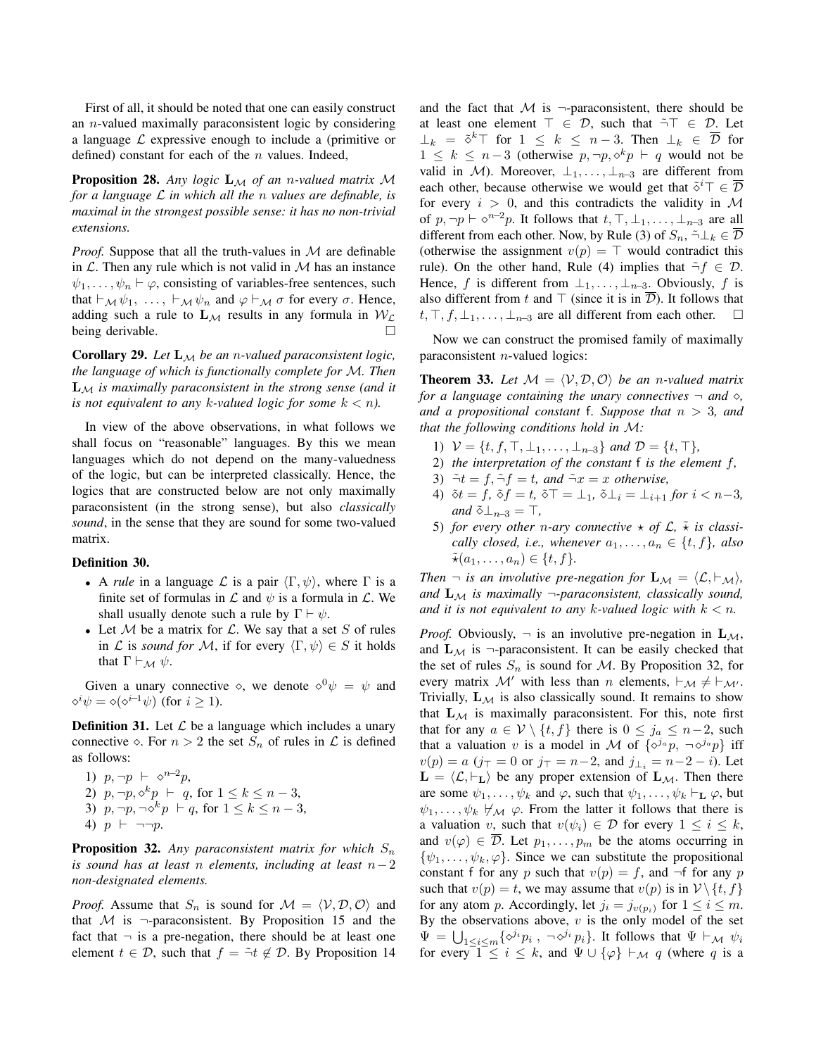First of all, it should be noted that one can easily construct an n-valued maximally paraconsistent logic by considering a language  $\mathcal L$  expressive enough to include a (primitive or defined) constant for each of the  $n$  values. Indeed,

**Proposition 28.** Any logic  $\mathbf{L}_{\mathcal{M}}$  of an n-valued matrix M *for a language* L *in which all the* n *values are definable, is maximal in the strongest possible sense: it has no non-trivial extensions.*

*Proof.* Suppose that all the truth-values in  $M$  are definable in  $\mathcal{L}$ . Then any rule which is not valid in  $\mathcal{M}$  has an instance  $\psi_1, \ldots, \psi_n \vdash \varphi$ , consisting of variables-free sentences, such that  $\vdash_{\mathcal{M}} \psi_1, \ldots, \vdash_{\mathcal{M}} \psi_n$  and  $\varphi \vdash_{\mathcal{M}} \sigma$  for every  $\sigma$ . Hence, adding such a rule to  $L_M$  results in any formula in  $W_L$ being derivable.  $\Box$ 

**Corollary 29.** Let  $\mathbf{L}_{\mathcal{M}}$  be an *n*-valued paraconsistent logic, *the language of which is functionally complete for* M*. Then*  $L_M$  *is maximally paraconsistent in the strong sense (and it is not equivalent to any k-valued logic for some*  $k < n$ *).* 

In view of the above observations, in what follows we shall focus on "reasonable" languages. By this we mean languages which do not depend on the many-valuedness of the logic, but can be interpreted classically. Hence, the logics that are constructed below are not only maximally paraconsistent (in the strong sense), but also *classically sound*, in the sense that they are sound for some two-valued matrix.

#### Definition 30.

- A *rule* in a language  $\mathcal L$  is a pair  $\langle \Gamma, \psi \rangle$ , where  $\Gamma$  is a finite set of formulas in  $\mathcal L$  and  $\psi$  is a formula in  $\mathcal L$ . We shall usually denote such a rule by  $\Gamma \vdash \psi$ .
- Let  $M$  be a matrix for  $\mathcal{L}$ . We say that a set S of rules in L is *sound for* M, if for every  $\langle \Gamma, \psi \rangle \in S$  it holds that  $\Gamma \vdash_M \psi$ .

Given a unary connective  $\Diamond$ , we denote  $\Diamond^0 \psi = \psi$  and  $\Diamond^i \psi = \Diamond (\Diamond^{i-1} \psi)$  (for  $i \geq 1$ ).

**Definition 31.** Let  $\mathcal{L}$  be a language which includes a unary connective  $\Diamond$ . For  $n > 2$  the set  $S_n$  of rules in  $\mathcal L$  is defined as follows:

1)  $p, \neg p \vdash \Diamond^{n-2}p,$ 2)  $p, \neg p, \diamond^k p \vdash q$ , for  $1 \leq k \leq n-3$ , 3)  $p, \neg p, \neg \diamond^k p \vdash q$ , for  $1 \leq k \leq n-3$ , 4)  $p \vdash \neg \neg p$ .

**Proposition 32.** Any paraconsistent matrix for which  $S_n$ *is sound has at least* n *elements, including at least* n−2 *non-designated elements.*

*Proof.* Assume that  $S_n$  is sound for  $\mathcal{M} = \langle \mathcal{V}, \mathcal{D}, \mathcal{O} \rangle$  and that  $M$  is  $\neg$ -paraconsistent. By Proposition 15 and the fact that  $\neg$  is a pre-negation, there should be at least one element  $t \in \mathcal{D}$ , such that  $f = \tilde{\neg} t \notin \mathcal{D}$ . By Proposition 14 and the fact that  $M$  is  $\neg$ -paraconsistent, there should be at least one element  $\top \in \mathcal{D}$ , such that  $\tilde{\neg} \top \in \mathcal{D}$ . Let  $\perp_k = \tilde{\diamond}^k \top$  for  $1 \leq k \leq n-3$ . Then  $\perp_k \in \overline{\mathcal{D}}$  for  $1 \leq k \leq n-3$  (otherwise  $p, \neg p, \Diamond^k p \vdash q$  would not be valid in M). Moreover,  $\perp_1, \ldots, \perp_{n-3}$  are different from each other, because otherwise we would get that  $\tilde{\diamond}^i \top \in \overline{\mathcal{D}}$ for every  $i > 0$ , and this contradicts the validity in M of  $p, \neg p \vdash \Diamond^{n-2}p$ . It follows that  $t, \top, \bot_1, \ldots, \bot_{n-3}$  are all different from each other. Now, by Rule (3) of  $S_n$ ,  $\tilde{\neg} \bot_k \in \overline{\mathcal{D}}$ (otherwise the assignment  $v(p) = \top$  would contradict this rule). On the other hand, Rule (4) implies that  $\tilde{\neg} f \in \mathcal{D}$ . Hence, f is different from  $\bot_1, \ldots, \bot_{n-3}$ . Obviously, f is also different from t and  $\top$  (since it is in  $\overline{\mathcal{D}}$ ). It follows that  $t, \top, f, \bot_1, \ldots, \bot_{n-3}$  are all different from each other.  $\Box$ 

Now we can construct the promised family of maximally paraconsistent n-valued logics:

**Theorem 33.** Let  $M = \langle V, D, O \rangle$  be an n-valued matrix *for a language containing the unary connectives*  $\neg$  *and*  $\diamond$ , *and a propositional constant* f*. Suppose that* n > 3*, and that the following conditions hold in* M*:*

- 1)  $V = \{t, f, \top, \bot_1, \ldots, \bot_{n-3}\}$  *and*  $\mathcal{D} = \{t, \top\},$
- 2) *the interpretation of the constant* f *is the element* f*,*
- 3)  $\tilde{\neg} t = f, \tilde{\neg} f = t$ , and  $\tilde{\neg} x = x$  *otherwise*,
- 4)  $\delta t = f$ ,  $\delta f = t$ ,  $\delta \top = \bot_1$ ,  $\delta \bot_i = \bot_{i+1}$  *for*  $i < n-3$ , *and*  $\tilde{\diamond} \perp_{n-3} = \top$ ,
- 5) *for every other n-ary connective*  $\star$  *of*  $\mathcal{L}$ ,  $\tilde{\star}$  *is classically closed, i.e., whenever*  $a_1, \ldots, a_n \in \{t, f\}$ *, also*  $\tilde{\star}(a_1, \ldots, a_n) \in \{t, f\}.$

*Then*  $\neg$  *is an involutive pre-negation for*  $\mathbf{L}_{\mathcal{M}} = \langle \mathcal{L}, \vdash_{\mathcal{M}} \rangle$ , *and*  $\mathbf{L}_{\mathcal{M}}$  *is maximally*  $\neg$ *-paraconsistent, classically sound, and it is not equivalent to any k-valued logic with*  $k < n$ .

*Proof.* Obviously,  $\neg$  is an involutive pre-negation in  $L_M$ , and  $\mathbf{L}_{\mathcal{M}}$  is  $\neg$ -paraconsistent. It can be easily checked that the set of rules  $S_n$  is sound for M. By Proposition 32, for every matrix  $\mathcal{M}'$  with less than n elements,  $\vdash_{\mathcal{M}} \neq \vdash_{\mathcal{M}'}$ . Trivially,  $L_M$  is also classically sound. It remains to show that  $L_M$  is maximally paraconsistent. For this, note first that for any  $a \in \mathcal{V} \setminus \{t, f\}$  there is  $0 \leq j_a \leq n-2$ , such that a valuation v is a model in M of  $\{\diamond^{j_a} p, \neg \diamond^{j_a} p\}$  iff  $v(p) = a \ (j_{\top} = 0 \text{ or } j_{\top} = n-2, \text{ and } j_{\perp} = n-2-i).$  Let  $\mathbf{L} = \langle \mathcal{L}, \vdash_{\mathbf{L}} \rangle$  be any proper extension of  $\mathbf{L}_{\mathcal{M}}$ . Then there are some  $\psi_1, \ldots, \psi_k$  and  $\varphi$ , such that  $\psi_1, \ldots, \psi_k \vdash_{\mathbf{L}} \varphi$ , but  $\psi_1, \ldots, \psi_k \not\vdash_M \varphi$ . From the latter it follows that there is a valuation v, such that  $v(\psi_i) \in \mathcal{D}$  for every  $1 \leq i \leq k$ , and  $v(\varphi) \in \overline{\mathcal{D}}$ . Let  $p_1, \ldots, p_m$  be the atoms occurring in  $\{\psi_1, \ldots, \psi_k, \varphi\}$ . Since we can substitute the propositional constant f for any p such that  $v(p) = f$ , and  $\neg$  f for any p such that  $v(p) = t$ , we may assume that  $v(p)$  is in  $\mathcal{V} \setminus \{t, f\}$ for any atom p. Accordingly, let  $j_i = j_{v(p_i)}$  for  $1 \le i \le m$ . By the observations above,  $v$  is the only model of the set By the observations above, v is the only model of the set  $\Psi = \bigcup_{1 \leq i \leq m} {\{\phi^{j_i} p_i, \neg \phi^{j_i} p_i\}}$ . It follows that  $\Psi \vdash_{\mathcal{M}} \psi_i$ for every  $1 \leq i \leq k$ , and  $\Psi \cup {\varphi} \vdash_{\mathcal{M}} q$  (where q is a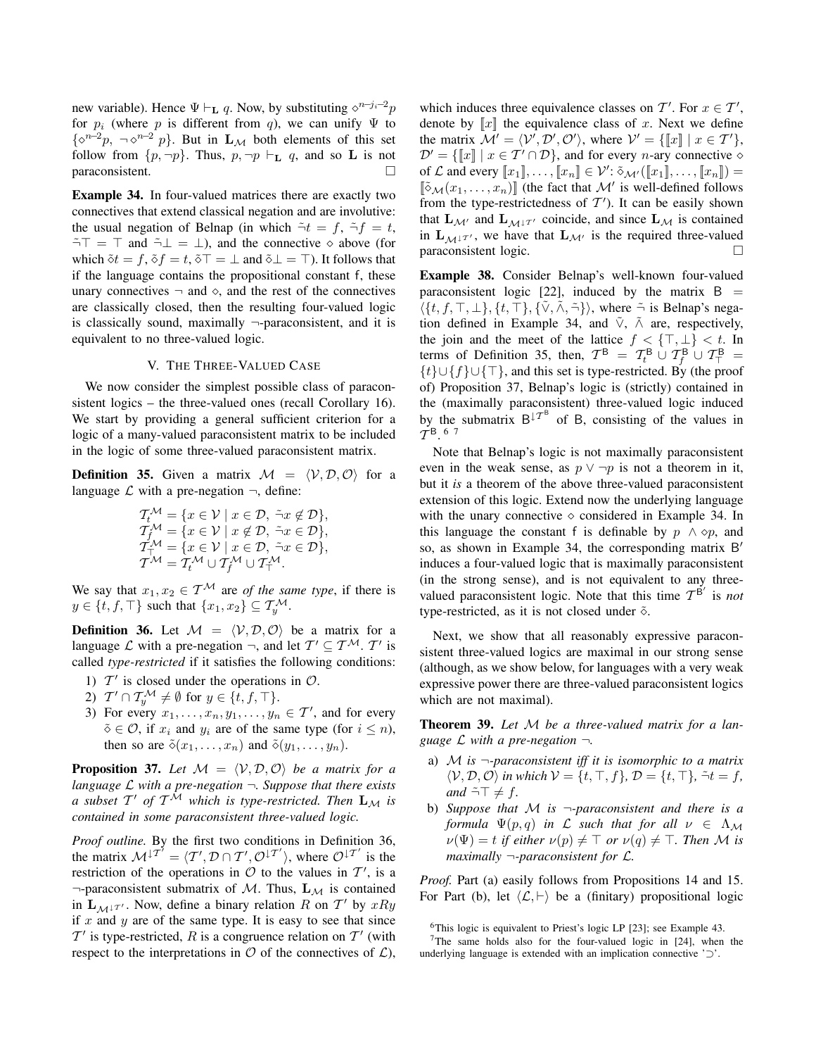new variable). Hence  $\Psi \vdash_{\mathbf{L}} q$ . Now, by substituting  $\Diamond^{n-j_i-2}p$ for  $p_i$  (where p is different from q), we can unify  $\Psi$  to  $\{\diamond^{n-2}p, \neg \diamond^{n-2}p\}$ . But in  $\mathbf{L}_{\mathcal{M}}$  both elements of this set follow from  $\{p, \neg p\}$ . Thus,  $p, \neg p \vdash_L q$ , and so L is not  $\Box$  paraconsistent.

Example 34. In four-valued matrices there are exactly two connectives that extend classical negation and are involutive: the usual negation of Belnap (in which  $\tilde{\neg} t = f$ ,  $\tilde{\neg} f = t$ ,  $\tilde{\neg} \top = \top$  and  $\tilde{\neg} \bot = \bot$ ), and the connective  $\diamond$  above (for which  $\delta t = f$ ,  $\delta f = t$ ,  $\delta \top = \bot$  and  $\delta \bot = \top$ ). It follows that if the language contains the propositional constant f, these unary connectives  $\neg$  and  $\diamond$ , and the rest of the connectives are classically closed, then the resulting four-valued logic is classically sound, maximally  $\neg$ -paraconsistent, and it is equivalent to no three-valued logic.

## V. THE THREE-VALUED CASE

We now consider the simplest possible class of paraconsistent logics – the three-valued ones (recall Corollary 16). We start by providing a general sufficient criterion for a logic of a many-valued paraconsistent matrix to be included in the logic of some three-valued paraconsistent matrix.

**Definition 35.** Given a matrix  $\mathcal{M} = \langle V, \mathcal{D}, \mathcal{O} \rangle$  for a language  $\mathcal L$  with a pre-negation  $\neg$ , define:

$$
T_t^{\mathcal{M}} = \{x \in \mathcal{V} \mid x \in \mathcal{D}, \ \tilde{\neg}x \notin \mathcal{D}\},
$$
  
\n
$$
T_f^{\mathcal{M}} = \{x \in \mathcal{V} \mid x \notin \mathcal{D}, \ \tilde{\neg}x \in \mathcal{D}\},
$$
  
\n
$$
T_\top^{\mathcal{M}} = \{x \in \mathcal{V} \mid x \in \mathcal{D}, \ \tilde{\neg}x \in \mathcal{D}\},
$$
  
\n
$$
T^{\mathcal{M}} = T_t^{\mathcal{M}} \cup T_f^{\mathcal{M}} \cup T_\top^{\mathcal{M}}.
$$

We say that  $x_1, x_2 \in \mathcal{T}^{\mathcal{M}}$  are *of the same type*, if there is  $y \in \{t, f, \top\}$  such that  $\{x_1, x_2\} \subseteq \mathcal{T}_y^{\mathcal{M}}$ .

**Definition 36.** Let  $M = \langle V, D, O \rangle$  be a matrix for a language L with a pre-negation  $\neg$ , and let  $T' \subseteq T^{\mathcal{M}}$ .  $T'$  is called *type-restricted* if it satisfies the following conditions:

- 1)  $T'$  is closed under the operations in  $\mathcal{O}$ .
- 2)  $T' \cap T_y^{\mathcal{M}} \neq \emptyset$  for  $y \in \{t, f, \top\}.$
- 3) For every  $x_1, \ldots, x_n, y_1, \ldots, y_n \in \mathcal{T}'$ , and for every  $\delta \in \mathcal{O}$ , if  $x_i$  and  $y_i$  are of the same type (for  $i \leq n$ ), then so are  $\tilde{\diamond}(x_1, \ldots, x_n)$  and  $\tilde{\diamond}(y_1, \ldots, y_n)$ .

**Proposition 37.** Let  $M = \langle V, D, O \rangle$  be a matrix for a *language* L *with a pre-negation* ¬*. Suppose that there exists a subset*  $T'$  *of*  $T^{\mathcal{M}}$  *which is type-restricted. Then*  $\mathbf{L}_{\mathcal{M}}$  *is contained in some paraconsistent three-valued logic.*

*Proof outline.* By the first two conditions in Definition 36, the matrix  $\mathcal{M}^{\downarrow \mathcal{T}'} = \langle \mathcal{T}', \mathcal{D} \cap \mathcal{T}', \mathcal{O}^{\downarrow \mathcal{T}'} \rangle$ , where  $\mathcal{O}^{\downarrow \mathcal{T}'}$  is the restriction of the operations in  $\mathcal O$  to the values in  $\mathcal T'$ , is a  $\neg$ -paraconsistent submatrix of M. Thus,  $L_M$  is contained in  $\mathbf{L}_{\mathcal{M}^{\downarrow T'}}$ . Now, define a binary relation R on T' by  $xRy$ if  $x$  and  $y$  are of the same type. It is easy to see that since  $T'$  is type-restricted, R is a congruence relation on T' (with respect to the interpretations in  $\mathcal O$  of the connectives of  $\mathcal L$ ),

which induces three equivalence classes on T'. For  $x \in T'$ , denote by  $\llbracket x \rrbracket$  the equivalence class of x. Next we define the matrix  $\mathcal{M}' = \langle \mathcal{V}', \mathcal{D}', \mathcal{O}' \rangle$ , where  $\mathcal{V}' = \{ ||x|| \mid x \in \mathcal{T}' \}$ ,  $\mathcal{D}' = \{\llbracket x \rrbracket \mid x \in \mathcal{T}' \cap \mathcal{D}\}\$ , and for every *n*-ary connective  $\diamond$ of  $\mathcal L$  and every  $\llbracket x_1 \rrbracket, \ldots, \llbracket x_n \rrbracket \in \mathcal V' : \tilde{\diamond}_{\mathcal M'}(\llbracket x_1 \rrbracket, \ldots, \llbracket x_n \rrbracket) =$  $[\![\tilde{\diamond}_{\mathcal{M}}(x_1, \ldots, x_n)]\!]$  (the fact that  $\mathcal{M}'$  is well-defined follows from the type-restrictedness of  $T'$ ). It can be easily shown that  $\mathbf{L}_{\mathcal{M}'}$  and  $\mathbf{L}_{\mathcal{M}^{\downarrow T'}}$  coincide, and since  $\mathbf{L}_{\mathcal{M}}$  is contained in  $L_{\mathcal{M}^{\perp}}$ , we have that  $L_{\mathcal{M}'}$  is the required three-valued paraconsistent logic.

Example 38. Consider Belnap's well-known four-valued paraconsistent logic [22], induced by the matrix  $B =$  $\langle \{t, f, \top, \bot\}, \{t, \top\}, \{\tilde{\vee}, \tilde{\wedge}, \tilde{\neg}\}\rangle$ , where  $\tilde{\neg}$  is Belnap's negation defined in Example 34, and  $\tilde{\vee}$ ,  $\tilde{\wedge}$  are, respectively, the join and the meet of the lattice  $f < \{\top, \bot\} < t$ . In terms of Definition 35, then,  $T^B = T_t^B \cup T_f^B \cup T_T^B =$  $\{t\} \cup \{f\} \cup \{\top\}$ , and this set is type-restricted. By (the proof of) Proposition 37, Belnap's logic is (strictly) contained in the (maximally paraconsistent) three-valued logic induced by the submatrix  $B^{\downarrow T^B}$  of B, consisting of the values in  $\mathcal{T}^{\mathsf{B}}$ .<sup>67</sup>

Note that Belnap's logic is not maximally paraconsistent even in the weak sense, as  $p \vee \neg p$  is not a theorem in it, but it *is* a theorem of the above three-valued paraconsistent extension of this logic. Extend now the underlying language with the unary connective  $\Diamond$  considered in Example 34. In this language the constant f is definable by  $p \wedge \infty p$ , and so, as shown in Example 34, the corresponding matrix B' induces a four-valued logic that is maximally paraconsistent (in the strong sense), and is not equivalent to any threevalued paraconsistent logic. Note that this time  $\mathcal{T}^{\mathbf{B}'}$  is *not* type-restricted, as it is not closed under  $\tilde{\diamond}$ .

Next, we show that all reasonably expressive paraconsistent three-valued logics are maximal in our strong sense (although, as we show below, for languages with a very weak expressive power there are three-valued paraconsistent logics which are not maximal).

Theorem 39. *Let* M *be a three-valued matrix for a language* L *with a pre-negation* ¬*.*

- a) M *is* ¬*-paraconsistent iff it is isomorphic to a matrix*  $\langle \mathcal{V}, \mathcal{D}, \mathcal{O} \rangle$  *in which*  $\mathcal{V} = \{t, \top, f\}$ ,  $\mathcal{D} = \{t, \top\}$ ,  $\tilde{\neg}t = f$ , *and*  $\tilde{\neg} \top \neq f$ .
- b) *Suppose that* M *is* ¬*-paraconsistent and there is a formula*  $\Psi(p,q)$  *in*  $\mathcal L$  *such that for all*  $\nu \in \Lambda_{\mathcal M}$  $\nu(\Psi) = t$  *if either*  $\nu(p) \neq \top$  *or*  $\nu(q) \neq \top$ *. Then M is maximally* ¬*-paraconsistent for* L*.*

*Proof.* Part (a) easily follows from Propositions 14 and 15. For Part (b), let  $\langle \mathcal{L}, \vdash \rangle$  be a (finitary) propositional logic

<sup>6</sup>This logic is equivalent to Priest's logic LP [23]; see Example 43.

<sup>&</sup>lt;sup>7</sup>The same holds also for the four-valued logic in  $[24]$ , when the underlying language is extended with an implication connective '⊃'.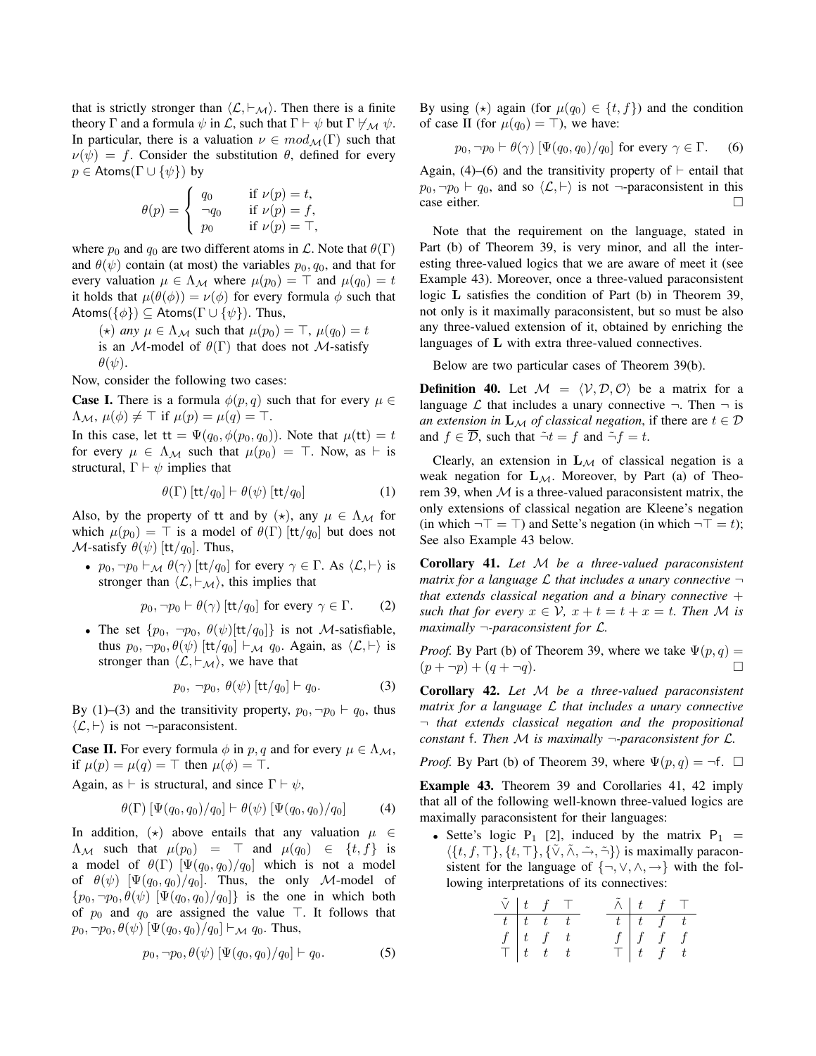that is strictly stronger than  $\langle \mathcal{L}, \vdash_{\mathcal{M}} \rangle$ . Then there is a finite theory  $\Gamma$  and a formula  $\psi$  in  $\mathcal{L}$ , such that  $\Gamma \vdash \psi$  but  $\Gamma \not \vdash_{\mathcal{M}} \psi$ . In particular, there is a valuation  $\nu \in mod_{\mathcal{M}}(\Gamma)$  such that  $\nu(\psi) = f$ . Consider the substitution  $\theta$ , defined for every  $p \in$  Atoms( $\Gamma \cup {\psi}$ ) by

$$
\theta(p) = \begin{cases}\nq_0 & \text{if } \nu(p) = t, \\
\neg q_0 & \text{if } \nu(p) = f, \\
p_0 & \text{if } \nu(p) = \top,\n\end{cases}
$$

where  $p_0$  and  $q_0$  are two different atoms in  $\mathcal L$ . Note that  $\theta(\Gamma)$ and  $\theta(\psi)$  contain (at most) the variables  $p_0, q_0$ , and that for every valuation  $\mu \in \Lambda_{\mathcal{M}}$  where  $\mu(p_0) = \top$  and  $\mu(q_0) = t$ it holds that  $\mu(\theta(\phi)) = \nu(\phi)$  for every formula  $\phi$  such that Atoms( $\{\phi\}$ )  $\subseteq$  Atoms( $\Gamma \cup \{\psi\}$ ). Thus,

(\*) *any*  $\mu \in \Lambda_{\mathcal{M}}$  such that  $\mu(p_0) = \top$ ,  $\mu(q_0) = t$ is an M-model of  $\theta(\Gamma)$  that does not M-satisfy  $\theta(\psi)$ .

Now, consider the following two cases:

**Case I.** There is a formula  $\phi(p,q)$  such that for every  $\mu \in$  $\Lambda_{\mathcal{M}}, \mu(\phi) \neq \top$  if  $\mu(p) = \mu(q) = \top$ .

In this case, let tt =  $\Psi(q_0, \phi(p_0, q_0))$ . Note that  $\mu(\text{tt}) = t$ for every  $\mu \in \Lambda_{\mathcal{M}}$  such that  $\mu(p_0) = \top$ . Now, as  $\vdash$  is structural,  $\Gamma \vdash \psi$  implies that

$$
\theta(\Gamma) \left[ \frac{\mathsf{t}}{\mathsf{t}} / q_0 \right] \vdash \theta(\psi) \left[ \frac{\mathsf{t}}{\mathsf{t}} / q_0 \right] \tag{1}
$$

Also, by the property of tt and by  $(\star)$ , any  $\mu \in \Lambda_{\mathcal{M}}$  for which  $\mu(p_0) = \top$  is a model of  $\theta(\Gamma)$  [tt/q<sub>0</sub>] but does not M-satisfy  $\theta(\psi)$  [tt/q<sub>0</sub>]. Thus,

•  $p_0, \neg p_0 \vdash_{\mathcal{M}} \theta(\gamma)$  [tt/q<sub>0</sub>] for every  $\gamma \in \Gamma$ . As  $\langle \mathcal{L}, \vdash \rangle$  is stronger than  $\langle \mathcal{L}, \vdash_{\mathcal{M}} \rangle$ , this implies that

$$
p_0, \neg p_0 \vdash \theta(\gamma) \text{ [tt/}q_0 \text{] for every } \gamma \in \Gamma. \tag{2}
$$

• The set  $\{p_0, \neg p_0, \theta(\psi)$ [tt/q<sub>0</sub>]} is not *M*-satisfiable, thus  $p_0, \neg p_0, \theta(\psi)$  [tt/q<sub>0</sub>]  $\vdash_{\mathcal{M}}$  q<sub>0</sub>. Again, as  $\langle \mathcal{L}, \vdash \rangle$  is stronger than  $\langle \mathcal{L}, \vdash_{\mathcal{M}} \rangle$ , we have that

$$
p_0, \neg p_0, \theta(\psi) \left[ \frac{\text{tt}}{q_0} \right] \vdash q_0. \tag{3}
$$

By (1)–(3) and the transitivity property,  $p_0, \neg p_0 \vdash q_0$ , thus  $\langle \mathcal{L}, \vdash \rangle$  is not  $\neg$ -paraconsistent.

**Case II.** For every formula  $\phi$  in p, q and for every  $\mu \in \Lambda_{\mathcal{M}}$ , if  $\mu(p) = \mu(q) = \top$  then  $\mu(\phi) = \top$ .

Again, as  $\vdash$  is structural, and since  $\Gamma \vdash \psi$ ,

$$
\theta(\Gamma) \left[ \Psi(q_0, q_0) / q_0 \right] \vdash \theta(\psi) \left[ \Psi(q_0, q_0) / q_0 \right] \tag{4}
$$

In addition,  $(\star)$  above entails that any valuation  $\mu \in$  $\Lambda_{\mathcal{M}}$  such that  $\mu(p_0) = \top$  and  $\mu(q_0) \in \{t, f\}$  is a model of  $\theta(\Gamma)$  [ $\Psi(q_0, q_0)/q_0$ ] which is not a model of  $\theta(\psi)$   $[\Psi(q_0, q_0)/q_0]$ . Thus, the only M-model of  ${p_0, \neg p_0, \theta(\psi) \left[\Psi(q_0, q_0)/q_0\right]}$  is the one in which both of  $p_0$  and  $q_0$  are assigned the value  $\top$ . It follows that  $p_0, \neg p_0, \theta(\psi) \left[ \Psi(q_0, q_0) / q_0 \right] \vdash_{\mathcal{M}} q_0$ . Thus,

$$
p_0, \neg p_0, \theta(\psi) \left[ \Psi(q_0, q_0) / q_0 \right] \vdash q_0. \tag{5}
$$

By using ( $\star$ ) again (for  $\mu(q_0) \in \{t, f\}$ ) and the condition of case II (for  $\mu(q_0) = \top$ ), we have:

$$
p_0, \neg p_0 \vdash \theta(\gamma) \left[ \Psi(q_0, q_0) / q_0 \right]
$$
 for every  $\gamma \in \Gamma$ . (6)

Again, (4)–(6) and the transitivity property of  $\vdash$  entail that  $p_0, \neg p_0 \vdash q_0$ , and so  $\langle \mathcal{L}, \vdash \rangle$  is not  $\neg$ -paraconsistent in this  $\Box$  case either.  $\Box$ 

Note that the requirement on the language, stated in Part (b) of Theorem 39, is very minor, and all the interesting three-valued logics that we are aware of meet it (see Example 43). Moreover, once a three-valued paraconsistent logic L satisfies the condition of Part (b) in Theorem 39, not only is it maximally paraconsistent, but so must be also any three-valued extension of it, obtained by enriching the languages of L with extra three-valued connectives.

Below are two particular cases of Theorem 39(b).

**Definition 40.** Let  $M = \langle V, D, O \rangle$  be a matrix for a language  $\mathcal L$  that includes a unary connective  $\neg$ . Then  $\neg$  is *an extension in*  $\mathbf{L}_{\mathcal{M}}$  *of classical negation*, if there are  $t \in \mathcal{D}$ and  $f \in \overline{\mathcal{D}}$ , such that  $\tilde{\neg} t = f$  and  $\tilde{\neg} f = t$ .

Clearly, an extension in  $L_M$  of classical negation is a weak negation for  $L_M$ . Moreover, by Part (a) of Theorem 39, when  $M$  is a three-valued paraconsistent matrix, the only extensions of classical negation are Kleene's negation (in which  $\neg$   $\top = \top$ ) and Sette's negation (in which  $\neg$   $\top = t$ ); See also Example 43 below.

Corollary 41. *Let* M *be a three-valued paraconsistent matrix for a language* L *that includes a unary connective that extends classical negation and a binary connective* + *such that for every*  $x \in V$ ,  $x + t = t + x = t$ . Then M is *maximally* ¬*-paraconsistent for* L*.*

*Proof.* By Part (b) of Theorem 39, where we take  $\Psi(p,q) =$  $(p + \neg p) + (q + \neg q).$ 

Corollary 42. *Let* M *be a three-valued paraconsistent matrix for a language* L *that includes a unary connective* ¬ *that extends classical negation and the propositional constant* f*. Then* M *is maximally* ¬*-paraconsistent for* L*.*

*Proof.* By Part (b) of Theorem 39, where  $\Psi(p,q) = \neg f$ .  $\Box$ 

Example 43. Theorem 39 and Corollaries 41, 42 imply that all of the following well-known three-valued logics are maximally paraconsistent for their languages:

• Sette's logic  $P_1$  [2], induced by the matrix  $P_1$  =  $\langle \{t, f, \top \}, \{t, \top \}, \{\tilde{\vee}, \tilde{\wedge}, \tilde{\rightarrow}, \tilde{\top} \} \rangle$  is maximally paraconsistent for the language of  $\{\neg, \vee, \wedge, \rightarrow\}$  with the following interpretations of its connectives:

$$
\begin{array}{c|ccccc}\n\tilde{\lor} & t & f & \top & & \tilde{\land} & t & f & \top \\
\hline\nt & t & t & t & & & t & t & f & t \\
f & t & f & t & & & f & f & f & f \\
\top & t & t & & & & \top & t & f & t\n\end{array}
$$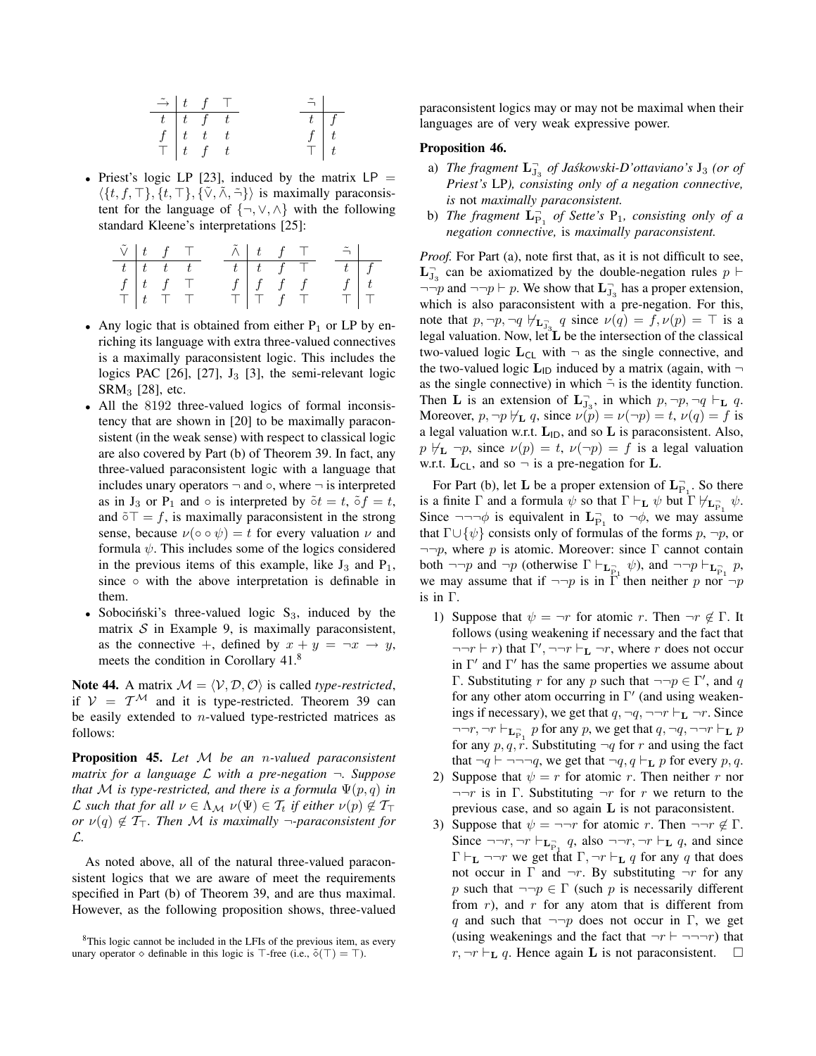| $\tilde{\rightarrow}  t $ |        | $f$ T                                                                    |  | $-\tilde{\neg}$                |  |
|---------------------------|--------|--------------------------------------------------------------------------|--|--------------------------------|--|
| t                         |        | $\begin{array}{cccc} t & f & t \end{array}$                              |  | t                              |  |
|                           |        | $\frac{f}{\top}$ $\begin{array}{ccc} t & t & t \\ t & f & t \end{array}$ |  | $\frac{f}{\tau}$ $\frac{t}{t}$ |  |
|                           | $\tau$ |                                                                          |  |                                |  |

• Priest's logic LP [23], induced by the matrix  $LP =$  $\langle \{t, f, \top\}, \{t, \top\}, \{\tilde{\vee}, \tilde{\wedge}, \tilde{\neg}\} \rangle$  is maximally paraconsistent for the language of  $\{\neg, \vee, \wedge\}$  with the following standard Kleene's interpretations [25]:

| $\tilde{\vee}$ $\begin{array}{cc} t & f \end{array}$ T |                                                   |  | $\tilde{\wedge}$   t f $\top$ |                          |  | $\tilde{=}$ |  |
|--------------------------------------------------------|---------------------------------------------------|--|-------------------------------|--------------------------|--|-------------|--|
| t                                                      | $\begin{array}{ccc} t & t & t \end{array}$        |  | t                             | $t f \top$               |  | $t \mid f$  |  |
|                                                        | $f \mid t \quad f \quad \top$                     |  |                               | $f \mid f \mid f \mid f$ |  |             |  |
|                                                        | $\begin{array}{cccc} t & \top & \top \end{array}$ |  |                               | $\top$ f $\top$          |  |             |  |

- Any logic that is obtained from either  $P_1$  or LP by enriching its language with extra three-valued connectives is a maximally paraconsistent logic. This includes the logics PAC  $[26]$ ,  $[27]$ ,  $J_3$   $[3]$ , the semi-relevant logic  $SRM<sub>3</sub>$  [28], etc.
- All the 8192 three-valued logics of formal inconsistency that are shown in [20] to be maximally paraconsistent (in the weak sense) with respect to classical logic are also covered by Part (b) of Theorem 39. In fact, any three-valued paraconsistent logic with a language that includes unary operators  $\neg$  and  $\circ$ , where  $\neg$  is interpreted as in J<sub>3</sub> or P<sub>1</sub> and  $\circ$  is interpreted by  $\tilde{\circ}t = t$ ,  $\tilde{\circ}f = t$ , and  $\delta \top = f$ , is maximally paraconsistent in the strong sense, because  $\nu(\circ \circ \psi) = t$  for every valuation  $\nu$  and formula  $\psi$ . This includes some of the logics considered in the previous items of this example, like  $J_3$  and  $P_1$ , since ∘ with the above interpretation is definable in them.
- Sobociński's three-valued logic  $S_3$ , induced by the matrix  $S$  in Example 9, is maximally paraconsistent, as the connective +, defined by  $x + y = \neg x \rightarrow y$ , meets the condition in Corollary 41.<sup>8</sup>

Note 44. A matrix  $M = \langle V, D, O \rangle$  is called *type-restricted*, if  $V = T^{\mathcal{M}}$  and it is type-restricted. Theorem 39 can be easily extended to  $n$ -valued type-restricted matrices as follows:

Proposition 45. *Let* M *be an* n*-valued paraconsistent matrix for a language* L *with a pre-negation* ¬*. Suppose that* M *is type-restricted, and there is a formula*  $\Psi(p,q)$  *in* L such that for all  $\nu \in \Lambda_M$   $\nu(\Psi) \in \mathcal{T}_t$  if either  $\nu(p) \notin \mathcal{T}_\top$ *or*  $\nu(q) \notin \mathcal{T}_T$ *. Then M is maximally*  $\neg$ *-paraconsistent for* L*.*

As noted above, all of the natural three-valued paraconsistent logics that we are aware of meet the requirements specified in Part (b) of Theorem 39, and are thus maximal. However, as the following proposition shows, three-valued paraconsistent logics may or may not be maximal when their languages are of very weak expressive power.

# Proposition 46.

- a) *The fragment*  $\mathbf{L}^{-}_{J_3}$  *of Jaskowski-D'ottaviano's* J<sub>3</sub> (*or of Priest's* LP*), consisting only of a negation connective, is* not *maximally paraconsistent.*
- b) *The fragment*  $\mathbf{L}_{\mathrm{P}_1}^{\dagger}$  *of Sette's*  $\mathbf{P}_1$ *, consisting only of a negation connective,* is *maximally paraconsistent.*

*Proof.* For Part (a), note first that, as it is not difficult to see,  $\mathbf{L}_{J_3}^-$  can be axiomatized by the double-negation rules  $p \vdash$  $\neg$  $\neg p$  and  $\neg$  $\neg p \vdash p$ . We show that  $\mathbf{L}_{J_3}^{\neg}$  has a proper extension, which is also paraconsistent with a pre-negation. For this, note that  $p, \neg p, \neg q \nvdash_{\mathbf{L}_{3_{\infty}}^{-}} q$  since  $\nu(q) = f, \nu(p) = \top$  is a legal valuation. Now, let  $\mathbf{\tilde{L}}$  be the intersection of the classical two-valued logic  $L_{CL}$  with  $\neg$  as the single connective, and the two-valued logic  $L_{ID}$  induced by a matrix (again, with  $\neg$ as the single connective) in which  $\tilde{\neg}$  is the identity function. Then **L** is an extension of  $\mathbf{L}_{J_3}^{\neg}$ , in which  $p, \neg p, \neg q \vdash_{\mathbf{L}} q$ . Moreover,  $p, \neg p \nvdash_{\mathbf{L}} q$ , since  $\nu(p) = \nu(\neg p) = t$ ,  $\nu(q) = f$  is a legal valuation w.r.t.  $L_{ID}$ , and so  $L$  is paraconsistent. Also,  $p \nvDash_{\mathbf{L}} \neg p$ , since  $\nu(p) = t$ ,  $\nu(\neg p) = f$  is a legal valuation w.r.t.  $L_{CL}$ , and so  $\neg$  is a pre-negation for L.

For Part (b), let **L** be a proper extension of  $\mathbf{L}_{\mathbf{P}_1}$ . So there is a finite  $\Gamma$  and a formula  $\psi$  so that  $\Gamma \vdash_{\mathbf{L}} \psi$  but  $\Gamma \not\models_{\mathbf{L}_{\Gamma_1}} \psi$ . Since  $\neg\neg\neg\phi$  is equivalent in  $\mathbf{L}_{\mathrm{P}_1}^{\neg}$  to  $\neg\phi$ , we may assume that  $\Gamma \cup \{\psi\}$  consists only of formulas of the forms p, ¬p, or  $\neg\neg p$ , where p is atomic. Moreover: since Γ cannot contain both  $\neg\neg p$  and  $\neg p$  (otherwise  $\Gamma \vdash_{\mathbf{L}^{-}_{p_1}} \psi$ ), and  $\neg\neg p \vdash_{\mathbf{L}^{-}_{p_1}} p$ , we may assume that if  $\neg\neg p$  is in  $\Gamma$  then neither p nor  $\neg p$ is in Γ.

- 1) Suppose that  $\psi = \neg r$  for atomic r. Then  $\neg r \notin \Gamma$ . It follows (using weakening if necessary and the fact that  $\neg\neg r \vdash r$ ) that  $\Gamma', \neg\neg r \vdash_{\mathbf{L}} \neg r$ , where r does not occur in  $\Gamma'$  and  $\Gamma'$  has the same properties we assume about Γ. Substituting r for any p such that  $\neg\neg p \in Γ'$ , and q for any other atom occurring in  $\Gamma'$  (and using weakenings if necessary), we get that  $q, \neg q, \neg \neg r \vdash_L \neg r$ . Since  $\neg\neg r, \neg r \vdash_{\mathbf{L}^-_{\mathbf{P}_1}} p$  for any p, we get that  $q, \neg q, \neg \neg r \vdash_{\mathbf{L}^+} p$ for any  $p, q, \dot{r}$ . Substituting  $\neg q$  for r and using the fact that  $\neg q \vdash \neg \neg \neg q$ , we get that  $\neg q, q \vdash_{\mathbf{L}} p$  for every p, q.
- 2) Suppose that  $\psi = r$  for atomic r. Then neither r nor  $\neg\neg r$  is in Γ. Substituting  $\neg r$  for r we return to the previous case, and so again L is not paraconsistent.
- 3) Suppose that  $\psi = \neg \neg r$  for atomic r. Then  $\neg \neg r \notin \Gamma$ . Since  $\neg\neg r, \neg r \vdash_{\mathbf{L}^{-}_{\mathbf{P}_1}} q$ , also  $\neg\neg r, \neg r \vdash_{\mathbf{L} q} q$ , and since  $\Gamma \vdash_{\mathbf{L}} \neg \neg r$  we get that  $\Gamma, \neg r \vdash_{\mathbf{L}} q$  for any q that does not occur in  $\Gamma$  and  $\neg r$ . By substituting  $\neg r$  for any p such that  $\neg\neg p \in \Gamma$  (such p is necessarily different from  $r$ ), and  $r$  for any atom that is different from q and such that  $\neg\neg p$  does not occur in Γ, we get (using weakenings and the fact that  $\neg r \vdash \neg \neg \neg r$ ) that  $r, \neg r \vdash_L q$ . Hence again **L** is not paraconsistent.  $\Box$

<sup>&</sup>lt;sup>8</sup>This logic cannot be included in the LFIs of the previous item, as every unary operator  $\diamond$  definable in this logic is  $\top$ -free (i.e.,  $\delta(\top) = \top$ ).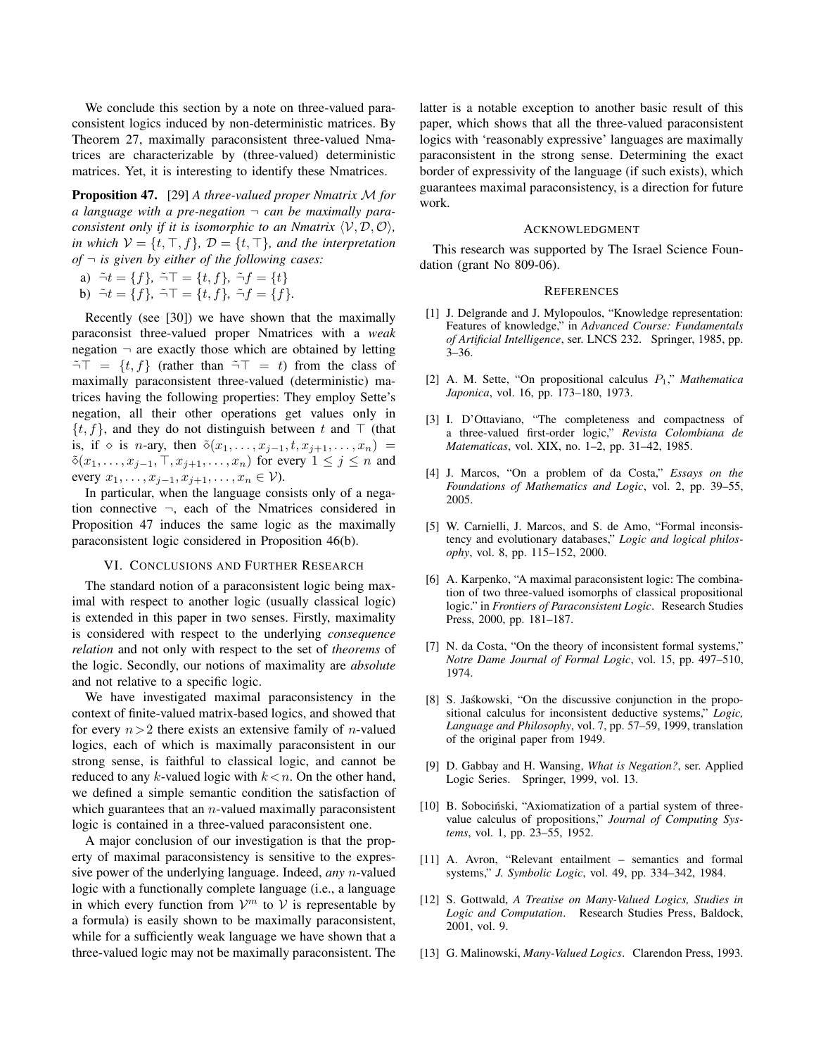We conclude this section by a note on three-valued paraconsistent logics induced by non-deterministic matrices. By Theorem 27, maximally paraconsistent three-valued Nmatrices are characterizable by (three-valued) deterministic matrices. Yet, it is interesting to identify these Nmatrices.

Proposition 47. [29] *A three-valued proper Nmatrix* M *for a language with a pre-negation* ¬ *can be maximally paraconsistent only if it is isomorphic to an Nmatrix*  $\langle V, D, O \rangle$ *, in which*  $V = \{t, \top, f\}$ ,  $\mathcal{D} = \{t, \top\}$ , and the interpretation *of* ¬ *is given by either of the following cases:*

a) 
$$
\tilde{\neg}t = \{f\}, \tilde{\neg} \top = \{t, f\}, \tilde{\neg} f = \{t\}
$$

b)  $\tilde{\neg} t = \{f\}, \tilde{\neg} \top = \{t, f\}, \tilde{\neg} f = \{f\}.$ 

Recently (see [30]) we have shown that the maximally paraconsist three-valued proper Nmatrices with a *weak* negation  $\neg$  are exactly those which are obtained by letting  $\tilde{\neg} \top = \{t, f\}$  (rather than  $\tilde{\neg} \top = t$ ) from the class of maximally paraconsistent three-valued (deterministic) matrices having the following properties: They employ Sette's negation, all their other operations get values only in  $\{t, f\}$ , and they do not distinguish between t and  $\top$  (that is, if  $\diamond$  is *n*-ary, then  $\tilde{\diamond}(x_1, \ldots, x_{i-1}, t, x_{i+1}, \ldots, x_n)$  =  $\tilde{\diamond}(x_1, \ldots, x_{j-1}, \top, x_{j+1}, \ldots, x_n)$  for every  $1 \leq j \leq n$  and every  $x_1, \ldots, x_{j-1}, x_{j+1}, \ldots, x_n \in V$ ).

In particular, when the language consists only of a negation connective  $\neg$ , each of the Nmatrices considered in Proposition 47 induces the same logic as the maximally paraconsistent logic considered in Proposition 46(b).

#### VI. CONCLUSIONS AND FURTHER RESEARCH

The standard notion of a paraconsistent logic being maximal with respect to another logic (usually classical logic) is extended in this paper in two senses. Firstly, maximality is considered with respect to the underlying *consequence relation* and not only with respect to the set of *theorems* of the logic. Secondly, our notions of maximality are *absolute* and not relative to a specific logic.

We have investigated maximal paraconsistency in the context of finite-valued matrix-based logics, and showed that for every  $n>2$  there exists an extensive family of *n*-valued logics, each of which is maximally paraconsistent in our strong sense, is faithful to classical logic, and cannot be reduced to any k-valued logic with  $k < n$ . On the other hand, we defined a simple semantic condition the satisfaction of which guarantees that an  $n$ -valued maximally paraconsistent logic is contained in a three-valued paraconsistent one.

A major conclusion of our investigation is that the property of maximal paraconsistency is sensitive to the expressive power of the underlying language. Indeed, *any* n-valued logic with a functionally complete language (i.e., a language in which every function from  $\mathcal{V}^m$  to  $\mathcal{V}$  is representable by a formula) is easily shown to be maximally paraconsistent, while for a sufficiently weak language we have shown that a three-valued logic may not be maximally paraconsistent. The latter is a notable exception to another basic result of this paper, which shows that all the three-valued paraconsistent logics with 'reasonably expressive' languages are maximally paraconsistent in the strong sense. Determining the exact border of expressivity of the language (if such exists), which guarantees maximal paraconsistency, is a direction for future work.

#### ACKNOWLEDGMENT

This research was supported by The Israel Science Foundation (grant No 809-06).

#### **REFERENCES**

- [1] J. Delgrande and J. Mylopoulos, "Knowledge representation: Features of knowledge," in *Advanced Course: Fundamentals of Artificial Intelligence*, ser. LNCS 232. Springer, 1985, pp. 3–36.
- [2] A. M. Sette, "On propositional calculus P1," *Mathematica Japonica*, vol. 16, pp. 173–180, 1973.
- [3] I. D'Ottaviano, "The completeness and compactness of a three-valued first-order logic," *Revista Colombiana de Matematicas*, vol. XIX, no. 1–2, pp. 31–42, 1985.
- [4] J. Marcos, "On a problem of da Costa," *Essays on the Foundations of Mathematics and Logic*, vol. 2, pp. 39–55, 2005.
- [5] W. Carnielli, J. Marcos, and S. de Amo, "Formal inconsistency and evolutionary databases," *Logic and logical philosophy*, vol. 8, pp. 115–152, 2000.
- [6] A. Karpenko, "A maximal paraconsistent logic: The combination of two three-valued isomorphs of classical propositional logic." in *Frontiers of Paraconsistent Logic*. Research Studies Press, 2000, pp. 181–187.
- [7] N. da Costa, "On the theory of inconsistent formal systems," *Notre Dame Journal of Formal Logic*, vol. 15, pp. 497–510, 1974.
- [8] S. Jaskowski, "On the discussive conjunction in the propositional calculus for inconsistent deductive systems," *Logic, Language and Philosophy*, vol. 7, pp. 57–59, 1999, translation of the original paper from 1949.
- [9] D. Gabbay and H. Wansing, *What is Negation?*, ser. Applied Logic Series. Springer, 1999, vol. 13.
- [10] B. Sobociński, "Axiomatization of a partial system of threevalue calculus of propositions," *Journal of Computing Systems*, vol. 1, pp. 23–55, 1952.
- [11] A. Avron, "Relevant entailment semantics and formal systems," *J. Symbolic Logic*, vol. 49, pp. 334–342, 1984.
- [12] S. Gottwald, *A Treatise on Many-Valued Logics, Studies in Logic and Computation*. Research Studies Press, Baldock, 2001, vol. 9.
- [13] G. Malinowski, *Many-Valued Logics*. Clarendon Press, 1993.